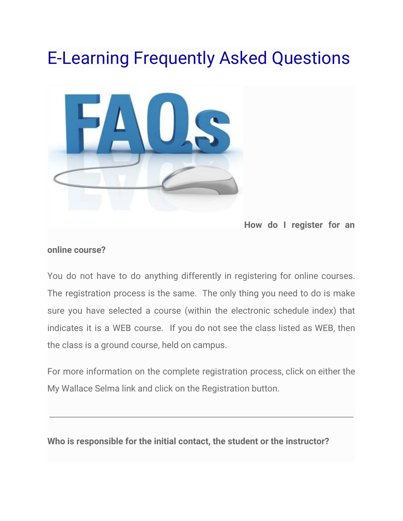# E-Learning Frequently Asked Questions



**How do I register for an**

#### **online course?**

You do not have to do anything differently in registering for online courses. The registration process is the same. The only thing you need to do is make sure you have selected a course (within the electronic schedule index) that indicates it is a WEB course. If you do not see the class listed as WEB, then the class is a ground course, held on campus.

For more information on the complete registration process, click on either the My Wallace Selma link and click on the Registration button.

**Who is responsible for the initial contact, the student or the instructor?**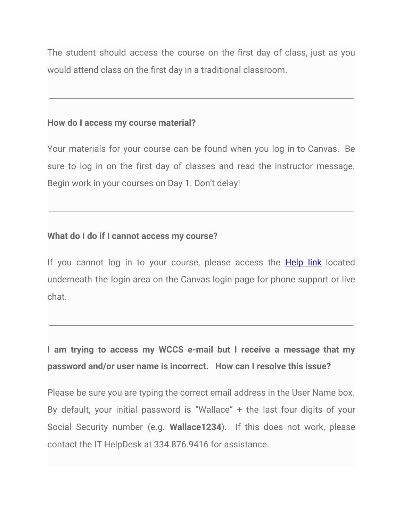The student should access the course on the first day of class, just as you would attend class on the first day in a traditional classroom.

#### **How do I access my course material?**

Your materials for your course can be found when you log in to Canvas. Be sure to log in on the first day of classes and read the instructor message. Begin work in your courses on Day 1. Don't delay!

# **What do I do if I cannot access my course?**

If you cannot log in to your course, please access the **[Help](https://wccs.instructure.com/login/canvas/) link** located underneath the login area on the Canvas login page for phone support or live chat.

# **I am trying to access my WCCS e-mail but I receive a message that my password and/or user name is incorrect. How can I resolve this issue?**

Please be sure you are typing the correct email address in the User Name box. By default, your initial password is "Wallace" + the last four digits of your Social Security number (e.g. **Wallace1234**). If this does not work, please contact the IT HelpDesk at 334.876.9416 for assistance.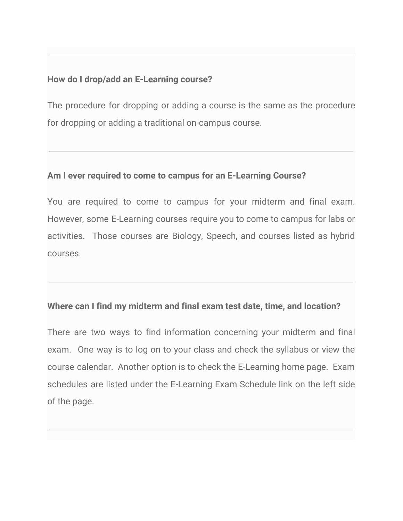#### **How do I drop/add an E-Learning course?**

The procedure for dropping or adding a course is the same as the procedure for dropping or adding a traditional on-campus course.

#### **Am I ever required to come to campus for an E-Learning Course?**

You are required to come to campus for your midterm and final exam. However, some E-Learning courses require you to come to campus for labs or activities. Those courses are Biology, Speech, and courses listed as hybrid courses.

#### **Where can I find my midterm and final exam test date, time, and location?**

There are two ways to find information concerning your midterm and final exam. One way is to log on to your class and check the syllabus or view the course calendar. Another option is to check the E-Learning home page. Exam schedules are listed under the E-Learning Exam Schedule link on the left side of the page.